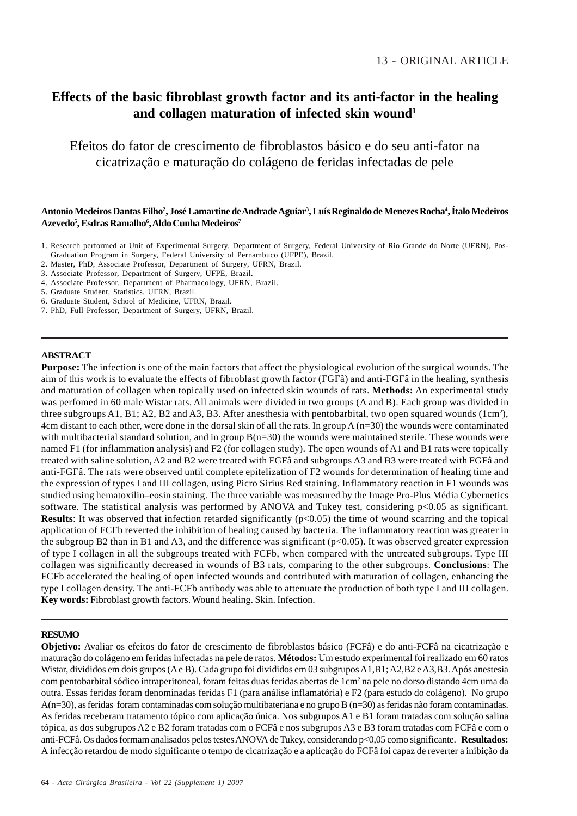# **Effects of the basic fibroblast growth factor and its anti-factor in the healing** and collagen maturation of infected skin wound<sup>1</sup>

Efeitos do fator de crescimento de fibroblastos básico e do seu anti-fator na cicatrização e maturação do colágeno de feridas infectadas de pele

# **Antonio Medeiros Dantas Filho2 , José Lamartine de Andrade Aguiar3 , Luís Reginaldo de Menezes Rocha4 , Ítalo Medeiros Azevedo5 , Esdras Ramalho6 , Aldo Cunha Medeiros7**

- 1. Research performed at Unit of Experimental Surgery, Department of Surgery, Federal University of Rio Grande do Norte (UFRN), Pos-Graduation Program in Surgery, Federal University of Pernambuco (UFPE), Brazil.
- 2. Master, PhD, Associate Professor, Department of Surgery, UFRN, Brazil.
- 3. Associate Professor, Department of Surgery, UFPE, Brazil.
- 4. Associate Professor, Department of Pharmacology, UFRN, Brazil.
- 5. Graduate Student, Statistics, UFRN, Brazil.
- 6. Graduate Student, School of Medicine, UFRN, Brazil.
- 7. PhD, Full Professor, Department of Surgery, UFRN, Brazil.

### **ABSTRACT**

**Purpose:** The infection is one of the main factors that affect the physiological evolution of the surgical wounds. The aim of this work is to evaluate the effects of fibroblast growth factor (FGFâ) and anti-FGFâ in the healing, synthesis and maturation of collagen when topically used on infected skin wounds of rats. **Methods:** An experimental study was perfomed in 60 male Wistar rats. All animals were divided in two groups (A and B). Each group was divided in three subgroups A1, B1; A2, B2 and A3, B3. After anesthesia with pentobarbital, two open squared wounds (1cm<sup>2</sup>), 4cm distant to each other, were done in the dorsal skin of all the rats. In group  $A$  ( $n=30$ ) the wounds were contaminated with multibacterial standard solution, and in group  $B(n=30)$  the wounds were maintained sterile. These wounds were named F1 (for inflammation analysis) and F2 (for collagen study). The open wounds of A1 and B1 rats were topically treated with saline solution, A2 and B2 were treated with FGFâ and subgroups A3 and B3 were treated with FGFâ and anti-FGFâ. The rats were observed until complete epitelization of F2 wounds for determination of healing time and the expression of types I and III collagen, using Picro Sirius Red staining. Inflammatory reaction in F1 wounds was studied using hematoxilin–eosin staining. The three variable was measured by the Image Pro-Plus Média Cybernetics software. The statistical analysis was performed by ANOVA and Tukey test, considering p<0.05 as significant. **Results**: It was observed that infection retarded significantly  $(p<0.05)$  the time of wound scarring and the topical application of FCFb reverted the inhibition of healing caused by bacteria. The inflammatory reaction was greater in the subgroup B2 than in B1 and A3, and the difference was significant ( $p<0.05$ ). It was observed greater expression of type I collagen in all the subgroups treated with FCFb, when compared with the untreated subgroups. Type III collagen was significantly decreased in wounds of B3 rats, comparing to the other subgroups. **Conclusions**: The FCFb accelerated the healing of open infected wounds and contributed with maturation of collagen, enhancing the type I collagen density. The anti-FCFb antibody was able to attenuate the production of both type I and III collagen. **Key words:** Fibroblast growth factors. Wound healing. Skin. Infection.

# **RESUMO**

**Objetivo:** Avaliar os efeitos do fator de crescimento de fibroblastos básico (FCFâ) e do anti-FCFâ na cicatrização e maturação do colágeno em feridas infectadas na pele de ratos. **Métodos:** Um estudo experimental foi realizado em 60 ratos Wistar, divididos em dois grupos (A e B). Cada grupo foi divididos em 03 subgrupos A1,B1; A2,B2 e A3,B3. Após anestesia com pentobarbital sódico intraperitoneal, foram feitas duas feridas abertas de 1cm² na pele no dorso distando 4cm uma da outra. Essas feridas foram denominadas feridas F1 (para análise inflamatória) e F2 (para estudo do colágeno). No grupo A(n=30), as feridas foram contaminadas com solução multibateriana e no grupo B (n=30) as feridas não foram contaminadas. As feridas receberam tratamento tópico com aplicação única. Nos subgrupos A1 e B1 foram tratadas com solução salina tópica, as dos subgrupos A2 e B2 foram tratadas com o FCFâ e nos subgrupos A3 e B3 foram tratadas com FCFâ e com o anti-FCFâ. Os dados formam analisados pelos testes ANOVA de Tukey, considerando p<0,05 como significante. **Resultados:** A infecção retardou de modo significante o tempo de cicatrização e a aplicação do FCFâ foi capaz de reverter a inibição da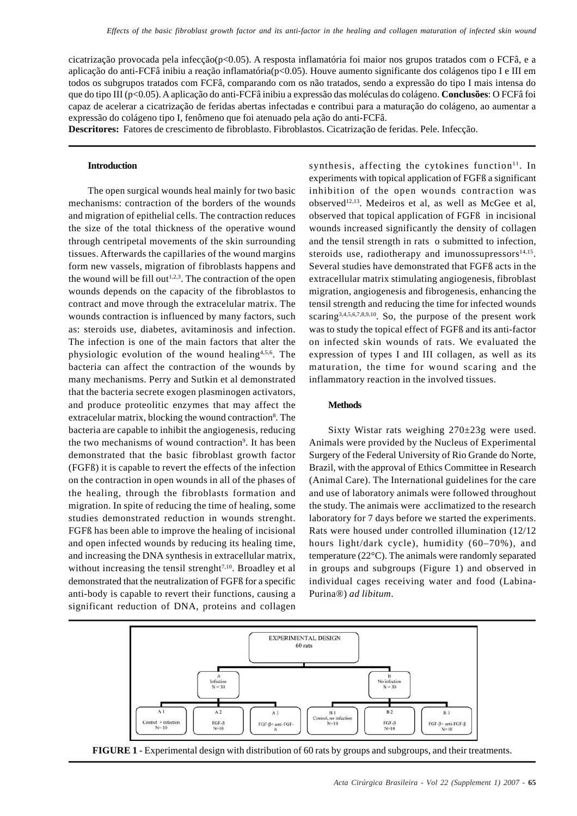cicatrização provocada pela infecção(p<0.05). A resposta inflamatória foi maior nos grupos tratados com o FCFâ, e a aplicação do anti-FCFâ inibiu a reação inflamatória(p<0.05). Houve aumento significante dos colágenos tipo I e III em todos os subgrupos tratados com FCFâ, comparando com os não tratados, sendo a expressão do tipo I mais intensa do que do tipo III (p<0.05). A aplicação do anti-FCFâ inibiu a expressão das moléculas do colágeno. **Conclusões**: O FCFâ foi capaz de acelerar a cicatrização de feridas abertas infectadas e contribui para a maturação do colágeno, ao aumentar a expressão do colágeno tipo I, fenômeno que foi atenuado pela ação do anti-FCFâ.

**Descritores:** Fatores de crescimento de fibroblasto. Fibroblastos. Cicatrização de feridas. Pele. Infecção.

#### **Introduction**

The open surgical wounds heal mainly for two basic mechanisms: contraction of the borders of the wounds and migration of epithelial cells. The contraction reduces the size of the total thickness of the operative wound through centripetal movements of the skin surrounding tissues. Afterwards the capillaries of the wound margins form new vassels, migration of fibroblasts happens and the wound will be fill out<sup>1,2,3</sup>. The contraction of the open wounds depends on the capacity of the fibroblastos to contract and move through the extracelular matrix. The wounds contraction is influenced by many factors, such as: steroids use, diabetes, avitaminosis and infection. The infection is one of the main factors that alter the physiologic evolution of the wound healing<sup>4,5,6</sup>. The bacteria can affect the contraction of the wounds by many mechanisms. Perry and Sutkin et al demonstrated that the bacteria secrete exogen plasminogen activators, and produce proteolitic enzymes that may affect the extracelular matrix, blocking the wound contraction<sup>8</sup>. The bacteria are capable to inhibit the angiogenesis, reducing the two mechanisms of wound contraction<sup>9</sup>. It has been demonstrated that the basic fibroblast growth factor (FGFß) it is capable to revert the effects of the infection on the contraction in open wounds in all of the phases of the healing, through the fibroblasts formation and migration. In spite of reducing the time of healing, some studies demonstrated reduction in wounds strenght. FGFß has been able to improve the healing of incisional and open infected wounds by reducing its healing time, and increasing the DNA synthesis in extracellular matrix, without increasing the tensil strenght $7,10$ . Broadley et al demonstrated that the neutralization of FGFß for a specific anti-body is capable to revert their functions, causing a significant reduction of DNA, proteins and collagen

synthesis, affecting the cytokines function $11$ . In experiments with topical application of FGFß a significant inhibition of the open wounds contraction was observed<sup>12,13</sup>. Medeiros et al, as well as McGee et al, observed that topical application of FGFß in incisional wounds increased significantly the density of collagen and the tensil strength in rats o submitted to infection, steroids use, radiotherapy and imunossupressors $14,15$ . Several studies have demonstrated that FGFß acts in the extracellular matrix stimulating angiogenesis, fibroblast migration, angiogenesis and fibrogenesis, enhancing the tensil strength and reducing the time for infected wounds scaring<sup>3,4,5,6,7,8,9,10</sup>. So, the purpose of the present work was to study the topical effect of FGFß and its anti-factor on infected skin wounds of rats. We evaluated the expression of types I and III collagen, as well as its maturation, the time for wound scaring and the inflammatory reaction in the involved tissues.

#### **Methods**

Sixty Wistar rats weighing 270±23g were used. Animals were provided by the Nucleus of Experimental Surgery of the Federal University of Rio Grande do Norte, Brazil, with the approval of Ethics Committee in Research (Animal Care). The International guidelines for the care and use of laboratory animals were followed throughout the study. The animais were acclimatized to the research laboratory for 7 days before we started the experiments. Rats were housed under controlled illumination (12/12 hours light/dark cycle), humidity (60–70%), and temperature (22°C). The animals were randomly separated in groups and subgroups (Figure 1) and observed in individual cages receiving water and food (Labina-Purina®) *ad libitum*.



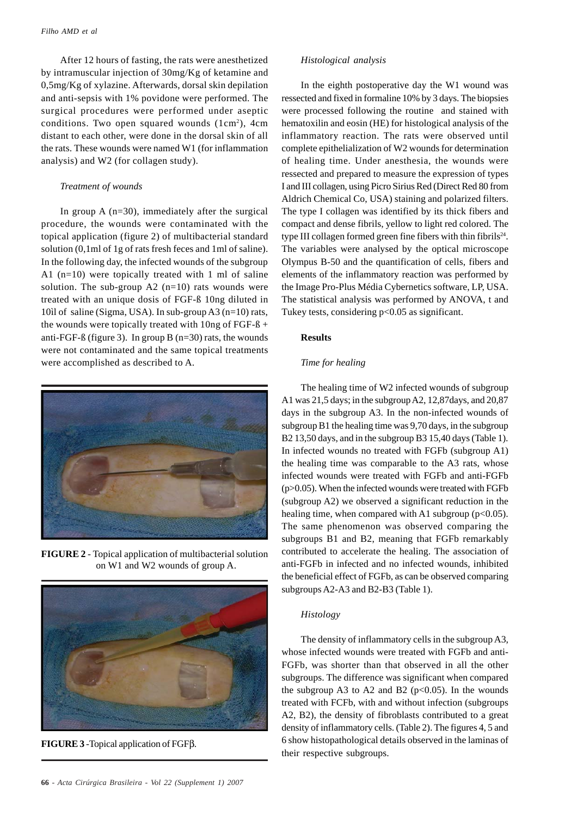After 12 hours of fasting, the rats were anesthetized by intramuscular injection of 30mg/Kg of ketamine and 0,5mg/Kg of xylazine. Afterwards, dorsal skin depilation and anti-sepsis with 1% povidone were performed. The surgical procedures were performed under aseptic conditions. Two open squared wounds  $(1cm<sup>2</sup>)$ , 4cm distant to each other, were done in the dorsal skin of all the rats. These wounds were named W1 (for inflammation analysis) and W2 (for collagen study).

#### *Treatment of wounds*

In group A  $(n=30)$ , immediately after the surgical procedure, the wounds were contaminated with the topical application (figure 2) of multibacterial standard solution (0,1ml of 1g of rats fresh feces and 1ml of saline). In the following day, the infected wounds of the subgroup A1 (n=10) were topically treated with 1 ml of saline solution. The sub-group A2  $(n=10)$  rats wounds were treated with an unique dosis of FGF-ß 10ng diluted in 10ìl of saline (Sigma, USA). In sub-group A3 (n=10) rats, the wounds were topically treated with  $10ng$  of FGF- $\beta$  + anti-FGF- $\beta$  (figure 3). In group B (n=30) rats, the wounds were not contaminated and the same topical treatments were accomplished as described to A.



**FIGURE 2** - Topical application of multibacterial solution on W1 and W2 wounds of group A.



**FIGURE 3** -Topical application of FGFβ.

#### *Histological analysis*

In the eighth postoperative day the W1 wound was ressected and fixed in formaline 10% by 3 days. The biopsies were processed following the routine and stained with hematoxilin and eosin (HE) for histological analysis of the inflammatory reaction. The rats were observed until complete epithelialization of W2 wounds for determination of healing time. Under anesthesia, the wounds were ressected and prepared to measure the expression of types I and III collagen, using Picro Sirius Red (Direct Red 80 from Aldrich Chemical Co, USA) staining and polarized filters. The type I collagen was identified by its thick fibers and compact and dense fibrils, yellow to light red colored. The type III collagen formed green fine fibers with thin fibrils $24$ . The variables were analysed by the optical microscope Olympus B-50 and the quantification of cells, fibers and elements of the inflammatory reaction was performed by the Image Pro-Plus Média Cybernetics software, LP, USA. The statistical analysis was performed by ANOVA, t and Tukey tests, considering p<0.05 as significant.

# **Results**

## *Time for healing*

The healing time of W2 infected wounds of subgroup A1 was 21,5 days; in the subgroup A2, 12,87days, and 20,87 days in the subgroup A3. In the non-infected wounds of subgroup B1 the healing time was 9,70 days, in the subgroup B2 13,50 days, and in the subgroup B3 15,40 days (Table 1). In infected wounds no treated with FGFb (subgroup A1) the healing time was comparable to the A3 rats, whose infected wounds were treated with FGFb and anti-FGFb  $(p>0.05)$ . When the infected wounds were treated with FGFb (subgroup A2) we observed a significant reduction in the healing time, when compared with A1 subgroup ( $p<0.05$ ). The same phenomenon was observed comparing the subgroups B1 and B2, meaning that FGFb remarkably contributed to accelerate the healing. The association of anti-FGFb in infected and no infected wounds, inhibited the beneficial effect of FGFb, as can be observed comparing subgroups A2-A3 and B2-B3 (Table 1).

## *Histology*

The density of inflammatory cells in the subgroup A3, whose infected wounds were treated with FGFb and anti-FGFb, was shorter than that observed in all the other subgroups. The difference was significant when compared the subgroup A3 to A2 and B2 ( $p<0.05$ ). In the wounds treated with FCFb, with and without infection (subgroups A2, B2), the density of fibroblasts contributed to a great density of inflammatory cells. (Table 2). The figures 4, 5 and 6 show histopathological details observed in the laminas of their respective subgroups.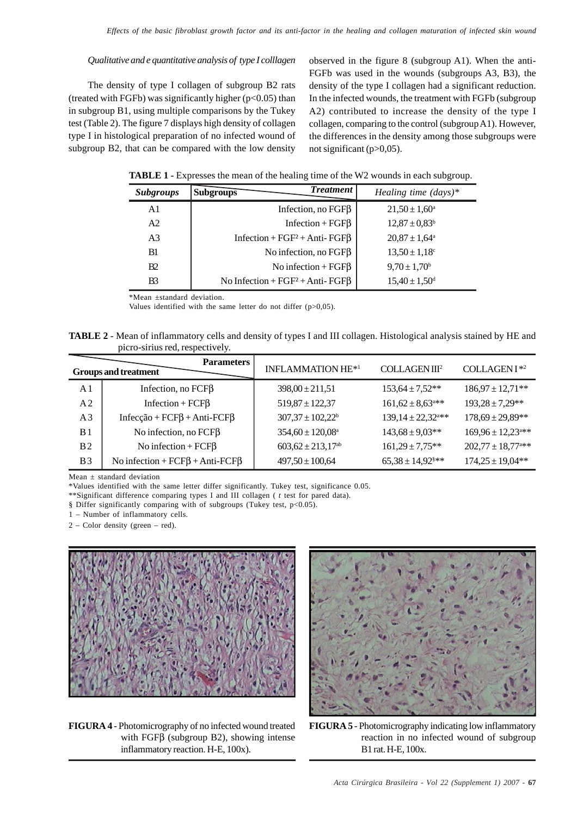# *Qualitative and e quantitative analysis of type I colllagen*

The density of type I collagen of subgroup B2 rats (treated with FGFb) was significantly higher  $(p<0.05)$  than in subgroup B1, using multiple comparisons by the Tukey test (Table 2). The figure 7 displays high density of collagen type I in histological preparation of no infected wound of subgroup B2, that can be compared with the low density

observed in the figure 8 (subgroup A1). When the anti-FGFb was used in the wounds (subgroups A3, B3), the density of the type I collagen had a significant reduction. In the infected wounds, the treatment with FGFb (subgroup A2) contributed to increase the density of the type I collagen, comparing to the control (subgroup A1). However, the differences in the density among those subgroups were not significant  $(p>0,05)$ .

**TABLE 1 -** Expresses the mean of the healing time of the W2 wounds in each subgroup.

| <b>Subgroups</b> | <b>Treatment</b><br><b>Subgroups</b>     | Healing time $(days)*$        |
|------------------|------------------------------------------|-------------------------------|
| A <sub>1</sub>   | Infection, no $FGF\beta$                 | $21,50 \pm 1,60^{\circ}$      |
| A <sub>2</sub>   | Infection + $FGF\beta$                   | $12,87 \pm 0,83^b$            |
| A <sub>3</sub>   | Infection + $FGF^2$ + Anti- $FGF\beta$   | $20,87 \pm 1,64^{\circ}$      |
| B1               | No infection, no $FGF\beta$              | $13,50 \pm 1,18$ <sup>c</sup> |
| <b>B2</b>        | No infection + $FGF\beta$                | $9,70 \pm 1,70^b$             |
| B3               | No Infection + $FGF^2 + Anti - FGF\beta$ | $15,40 \pm 1,50$ <sup>d</sup> |

\*Mean ±standard deviation.

Values identified with the same letter do not differ (p>0,05).

**TABLE 2** - Mean of inflammatory cells and density of types I and III collagen. Histological analysis stained by HE and picro-sirius red, respectively.

| <b>Parameters</b><br><b>Groups and treatment</b> |                                              | INFLAMMATION HE*1              | COLLAGENIII <sup>2</sup>          | COLLAGEN I*2                      |
|--------------------------------------------------|----------------------------------------------|--------------------------------|-----------------------------------|-----------------------------------|
| A <sub>1</sub>                                   | Infection, no $FCF\beta$                     | $398,00 \pm 211,51$            | $153,64 \pm 7,52**$               | $186.97 \pm 12.71$ **             |
| A <sub>2</sub>                                   | Infection + $FCF\beta$                       | $519,87 \pm 122,37$            | $161,62 \pm 8,63$ <sup>a**</sup>  | $193,28 \pm 7,29**$               |
| A <sub>3</sub>                                   | Infecção + $FCF\beta$ + Anti- $FCF\beta$     | $307,37 \pm 102,22^b$          | $139.14 \pm 22.32$ <sup>a**</sup> | $178,69 \pm 29,89**$              |
| <b>B</b> 1                                       | No infection, no $FCF\beta$                  | $354,60 \pm 120,08^{\text{a}}$ | $143,68 \pm 9,03**$               | $169.96 \pm 12.23$ <sup>a**</sup> |
| B <sub>2</sub>                                   | No infection + $FCF\beta$                    | $603,62 \pm 213,17^{ab}$       | $161,29 \pm 7,75**$               | $202,77 \pm 18,77$ <sup>a**</sup> |
| B <sub>3</sub>                                   | No infection + $FCF\beta$ + Anti- $FCF\beta$ | $497,50 \pm 100,64$            | $65,38 \pm 14,92$ <sup>\$**</sup> | $174,25 \pm 19,04**$              |

Mean  $\pm$  standard deviation

\*Values identified with the same letter differ significantly. Tukey test, significance 0.05.

\*\*Significant difference comparing types I and III collagen ( *t* test for pared data).

§ Differ significantly comparing with of subgroups (Tukey test, p<0.05).

1 – Number of inflammatory cells.

2 – Color density (green – red).



**FIGURA 4** - Photomicrography of no infected wound treated with FGFβ (subgroup B2), showing intense inflammatory reaction. H-E, 100x).



**FIGURA 5** - Photomicrography indicating low inflammatory reaction in no infected wound of subgroup B1 rat. H-E, 100x.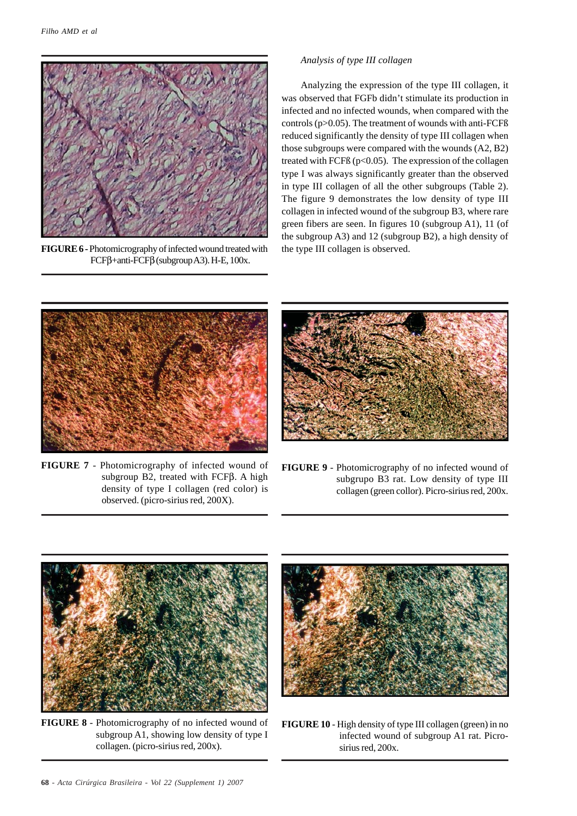

**FIGURE 6 -** Photomicrography of infected wound treated with the type III collagen is observed. FCFβ+anti-FCFβ (subgroup A3). H-E, 100x.

# *Analysis of type III collagen*

Analyzing the expression of the type III collagen, it was observed that FGFb didn't stimulate its production in infected and no infected wounds, when compared with the controls (p>0.05). The treatment of wounds with anti-FCFß reduced significantly the density of type III collagen when those subgroups were compared with the wounds (A2, B2) treated with FCF $\beta$  (p<0.05). The expression of the collagen type I was always significantly greater than the observed in type III collagen of all the other subgroups (Table 2). The figure 9 demonstrates the low density of type III collagen in infected wound of the subgroup B3, where rare green fibers are seen. In figures 10 (subgroup A1), 11 (of the subgroup A3) and 12 (subgroup B2), a high density of



**FIGURE 7** - Photomicrography of infected wound of subgroup B2, treated with FCFβ. A high density of type I collagen (red color) is observed. (picro-sirius red, 200X).



**FIGURE 9** - Photomicrography of no infected wound of subgrupo B3 rat. Low density of type III collagen (green collor). Picro-sirius red, 200x.



**FIGURE 8** - Photomicrography of no infected wound of subgroup A1, showing low density of type I collagen. (picro-sirius red, 200x).



**FIGURE 10** - High density of type III collagen (green) in no infected wound of subgroup A1 rat. Picrosirius red, 200x.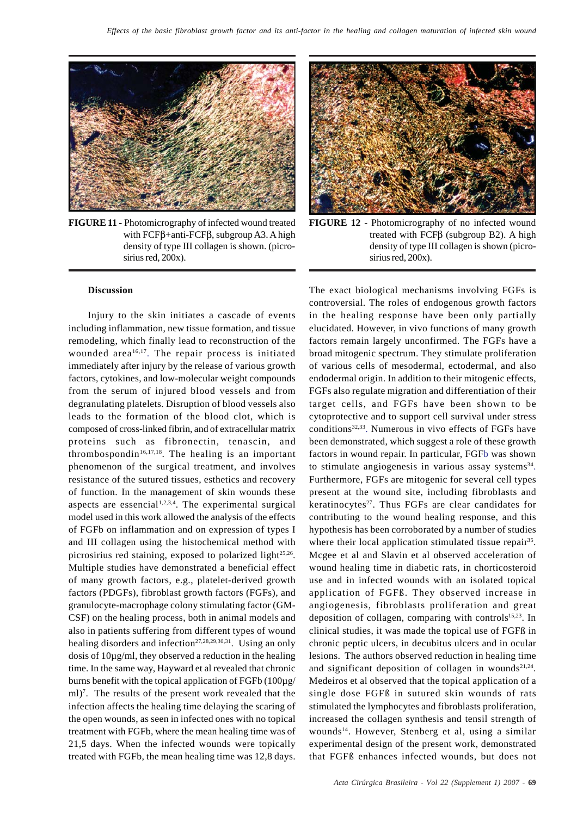

**FIGURE 11 -** Photomicrography of infected wound treated with FCFβ+anti-FCFβ, subgroup A3. A high density of type III collagen is shown. (picrosirius red, 200x).



**FIGURE 12** - Photomicrography of no infected wound treated with FCFβ (subgroup B2). A high density of type III collagen is shown (picrosirius red, 200x).

#### **Discussion**

Injury to the skin initiates a cascade of events including inflammation, new tissue formation, and tissue remodeling, which finally lead to reconstruction of the wounded area<sup>16,17</sup>. The repair process is initiated immediately after injury by the release of various growth factors, cytokines, and low-molecular weight compounds from the serum of injured blood vessels and from degranulating platelets. Disruption of blood vessels also leads to the formation of the blood clot, which is composed of cross-linked fibrin, and of extracellular matrix proteins such as fibronectin, tenascin, and thrombospondin<sup>16,17,18</sup>. The healing is an important phenomenon of the surgical treatment, and involves resistance of the sutured tissues, esthetics and recovery of function. In the management of skin wounds these aspects are essencial<sup>1,2,3,4</sup>. The experimental surgical model used in this work allowed the analysis of the effects of FGFb on inflammation and on expression of types I and III collagen using the histochemical method with picrosirius red staining, exposed to polarized light<sup>25,26</sup>. Multiple studies have demonstrated a beneficial effect of many growth factors, e.g., platelet-derived growth factors (PDGFs), fibroblast growth factors (FGFs), and granulocyte-macrophage colony stimulating factor (GM-CSF) on the healing process, both in animal models and also in patients suffering from different types of wound healing disorders and infection<sup>27,28,29,30,31</sup>. Using an only dosis of 10µg/ml, they observed a reduction in the healing time. In the same way, Hayward et al revealed that chronic burns benefit with the topical application of FGFb (100µg/ ml)<sup>7</sup>. The results of the present work revealed that the infection affects the healing time delaying the scaring of the open wounds, as seen in infected ones with no topical treatment with FGFb, where the mean healing time was of 21,5 days. When the infected wounds were topically treated with FGFb, the mean healing time was 12,8 days. The exact biological mechanisms involving FGFs is controversial. The roles of endogenous growth factors in the healing response have been only partially elucidated. However, in vivo functions of many growth factors remain largely unconfirmed. The FGFs have a broad mitogenic spectrum. They stimulate proliferation of various cells of mesodermal, ectodermal, and also endodermal origin. In addition to their mitogenic effects, FGFs also regulate migration and differentiation of their target cells, and FGFs have been shown to be cytoprotective and to support cell survival under stress conditions<sup>32,33</sup>. Numerous in vivo effects of FGFs have been demonstrated, which suggest a role of these growth factors in wound repair. In particular, FGFb was shown to stimulate angiogenesis in various assay systems $34$ . Furthermore, FGFs are mitogenic for several cell types present at the wound site, including fibroblasts and keratinocytes<sup>27</sup>. Thus FGFs are clear candidates for contributing to the wound healing response, and this hypothesis has been corroborated by a number of studies where their local application stimulated tissue repair<sup>35</sup>. Mcgee et al and Slavin et al observed acceleration of wound healing time in diabetic rats, in chorticosteroid use and in infected wounds with an isolated topical application of FGFß. They observed increase in angiogenesis, fibroblasts proliferation and great deposition of collagen, comparing with controls<sup>15,23</sup>. In clinical studies, it was made the topical use of FGFß in chronic peptic ulcers, in decubitus ulcers and in ocular lesions. The authors observed reduction in healing time and significant deposition of collagen in wounds<sup>21,24</sup>. Medeiros et al observed that the topical application of a single dose FGFß in sutured skin wounds of rats stimulated the lymphocytes and fibroblasts proliferation, increased the collagen synthesis and tensil strength of wounds<sup>14</sup>. However, Stenberg et al, using a similar experimental design of the present work, demonstrated that FGFß enhances infected wounds, but does not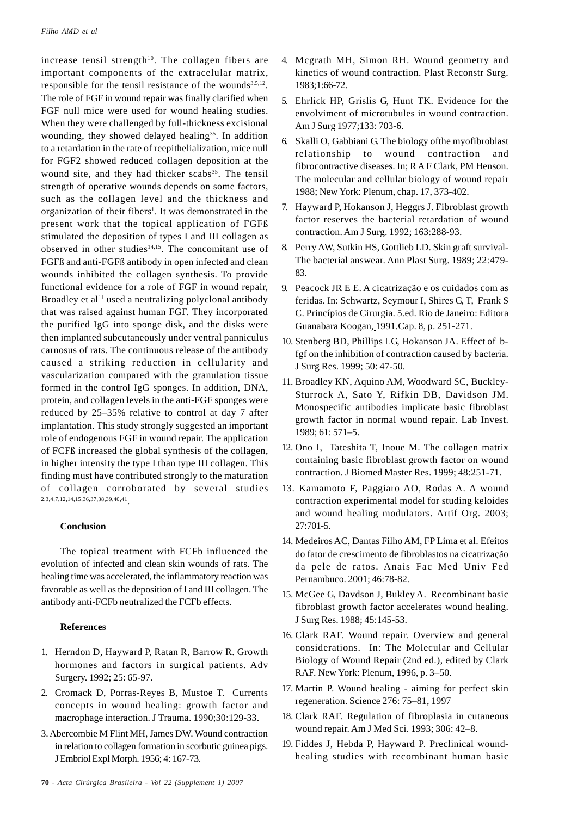increase tensil strength $10$ . The collagen fibers are important components of the extracelular matrix, responsible for the tensil resistance of the wounds $3,5,12$ . The role of FGF in wound repair was finally clarified when FGF null mice were used for wound healing studies. When they were challenged by full-thickness excisional wounding, they showed delayed healing<sup>35</sup>. In addition to a retardation in the rate of reepithelialization, mice null for FGF2 showed reduced collagen deposition at the wound site, and they had thicker scabs<sup>35</sup>. The tensil strength of operative wounds depends on some factors, such as the collagen level and the thickness and organization of their fibers<sup>1</sup>. It was demonstrated in the present work that the topical application of FGFß stimulated the deposition of types I and III collagen as observed in other studies $14,15$ . The concomitant use of FGFß and anti-FGFß antibody in open infected and clean wounds inhibited the collagen synthesis. To provide functional evidence for a role of FGF in wound repair, Broadley et al<sup>11</sup> used a neutralizing polyclonal antibody that was raised against human FGF. They incorporated the purified IgG into sponge disk, and the disks were then implanted subcutaneously under ventral panniculus carnosus of rats. The continuous release of the antibody caused a striking reduction in cellularity and vascularization compared with the granulation tissue formed in the control IgG sponges. In addition, DNA, protein, and collagen levels in the anti-FGF sponges were reduced by 25–35% relative to control at day 7 after implantation. This study strongly suggested an important role of endogenous FGF in wound repair. The application of FCFß increased the global synthesis of the collagen, in higher intensity the type I than type III collagen. This finding must have contributed strongly to the maturation of collagen corroborated by several studies 2,3,4,7,12,14,15,36,37,38,39,40,41.

## **Conclusion**

The topical treatment with FCFb influenced the evolution of infected and clean skin wounds of rats. The healing time was accelerated, the inflammatory reaction was favorable as well as the deposition of I and III collagen. The antibody anti-FCFb neutralized the FCFb effects.

### **References**

- 1. Herndon D, Hayward P, Ratan R, Barrow R. Growth hormones and factors in surgical patients. Adv Surgery. 1992; 25: 65-97.
- 2. Cromack D, Porras-Reyes B, Mustoe T. Currents concepts in wound healing: growth factor and macrophage interaction. J Trauma. 1990;30:129-33.
- 3. Abercombie M Flint MH, James DW. Wound contraction in relation to collagen formation in scorbutic guinea pigs. J Embriol Expl Morph. 1956; 4: 167-73.
- 4. Mcgrath MH, Simon RH. Wound geometry and kinetics of wound contraction. Plast Reconstr Surg. 1983;1:66-72.
- 5. Ehrlick HP, Grislis G, Hunt TK. Evidence for the envolviment of microtubules in wound contraction. Am J Surg 1977;133: 703-6.
- 6. Skalli O, Gabbiani G. The biology ofthe myofibroblast relationship to wound contraction and fibrocontractive diseases. In; R A F Clark, PM Henson. The molecular and cellular biology of wound repair 1988; New York: Plenum, chap. 17, 373-402.
- 7. Hayward P, Hokanson J, Heggrs J. Fibroblast growth factor reserves the bacterial retardation of wound contraction. Am J Surg. 1992; 163:288-93.
- 8. Perry AW, Sutkin HS, Gottlieb LD. Skin graft survival-The bacterial answear. Ann Plast Surg. 1989; 22:479- 83.
- 9. Peacock JR E E. A cicatrização e os cuidados com as feridas. In: Schwartz, Seymour I, Shires G, T, Frank S C. Princípios de Cirurgia. 5.ed. Rio de Janeiro: Editora Guanabara Koogan, 1991.Cap. 8, p. 251-271.
- 10. Stenberg BD, Phillips LG, Hokanson JA. Effect of bfgf on the inhibition of contraction caused by bacteria. J Surg Res. 1999; 50: 47-50.
- 11. Broadley KN, Aquino AM, Woodward SC, Buckley-Sturrock A, Sato Y, Rifkin DB, Davidson JM. Monospecific antibodies implicate basic fibroblast growth factor in normal wound repair. Lab Invest. 1989; 61: 571–5.
- 12. Ono I, Tateshita T, Inoue M. The collagen matrix containing basic fibroblast growth factor on wound contraction. J Biomed Master Res. 1999; 48:251-71.
- 13. Kamamoto F, Paggiaro AO, Rodas A. A wound contraction experimental model for studing keloides and wound healing modulators. Artif Org. 2003; 27:701-5.
- 14. Medeiros AC, Dantas Filho AM, FP Lima et al. Efeitos do fator de crescimento de fibroblastos na cicatrização da pele de ratos. Anais Fac Med Univ Fed Pernambuco. 2001; 46:78-82.
- 15. McGee G, Davdson J, Bukley A. Recombinant basic fibroblast growth factor accelerates wound healing. J Surg Res. 1988; 45:145-53.
- 16. Clark RAF. Wound repair. Overview and general considerations. In: The Molecular and Cellular Biology of Wound Repair (2nd ed.), edited by Clark RAF. New York: Plenum, 1996, p. 3–50.
- 17. Martin P. Wound healing aiming for perfect skin regeneration. Science 276: 75–81, 1997
- 18. Clark RAF. Regulation of fibroplasia in cutaneous wound repair. Am J Med Sci. 1993; 306: 42–8.
- 19. Fiddes J, Hebda P, Hayward P. Preclinical woundhealing studies with recombinant human basic